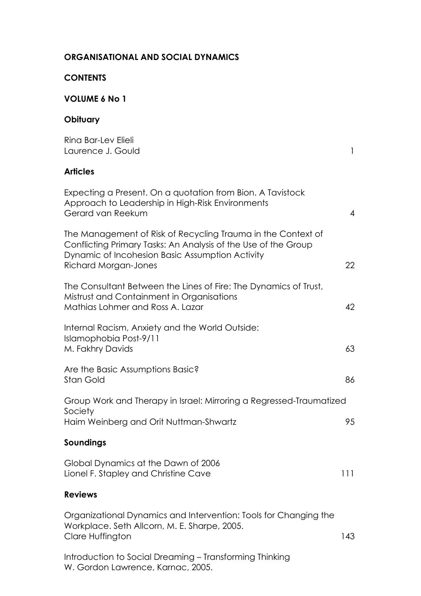| <b>CONTENTS</b>                                                                                                                                                                                                  |                |
|------------------------------------------------------------------------------------------------------------------------------------------------------------------------------------------------------------------|----------------|
| <b>VOLUME 6 No 1</b>                                                                                                                                                                                             |                |
| Obituary                                                                                                                                                                                                         |                |
| Rina Bar-Lev Elieli<br>Laurence J. Gould                                                                                                                                                                         | $\mathbf{1}$   |
| <b>Articles</b>                                                                                                                                                                                                  |                |
| Expecting a Present. On a quotation from Bion. A Tavistock<br>Approach to Leadership in High-Risk Environments<br>Gerard van Reekum                                                                              | $\overline{4}$ |
| The Management of Risk of Recycling Trauma in the Context of<br>Conflicting Primary Tasks: An Analysis of the Use of the Group<br>Dynamic of Incohesion Basic Assumption Activity<br><b>Richard Morgan-Jones</b> | 22             |
| The Consultant Between the Lines of Fire: The Dynamics of Trust,<br>Mistrust and Containment in Organisations<br>Mathias Lohmer and Ross A. Lazar                                                                | 42             |
| Internal Racism, Anxiety and the World Outside:<br>Islamophobia Post-9/11<br>M. Fakhry Davids                                                                                                                    | 63             |
| Are the Basic Assumptions Basic?<br>Stan Gold                                                                                                                                                                    | 86             |
| Group Work and Therapy in Israel: Mirroring a Regressed-Traumatized<br>Society<br>Haim Weinberg and Orit Nuttman-Shwartz                                                                                         | 95             |
| Soundings                                                                                                                                                                                                        |                |
| Global Dynamics at the Dawn of 2006<br>Lionel F. Stapley and Christine Cave                                                                                                                                      | 111            |
| <b>Reviews</b>                                                                                                                                                                                                   |                |
| Organizational Dynamics and Intervention: Tools for Changing the<br>Workplace. Seth Allcorn, M. E. Sharpe, 2005.<br>Clare Huffington                                                                             | 143            |
| Introduction to Social Dreaming - Transforming Thinking<br>W. Gordon Lawrence, Karnac, 2005.                                                                                                                     |                |

## **ORGANISATIONAL AND SOCIAL DYNAMICS**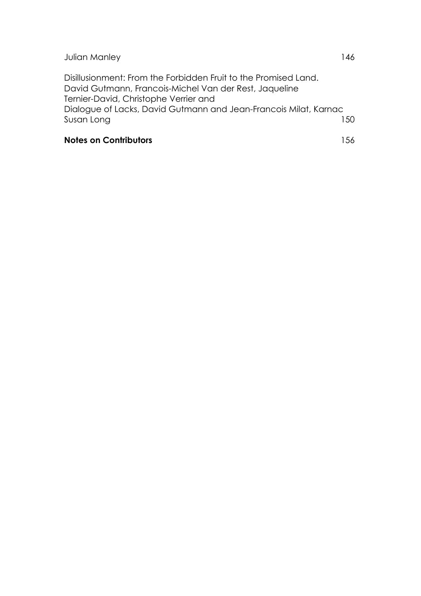Disillusionment: From the Forbidden Fruit to the Promised Land. David Gutmann, Francois-Michel Van der Rest, Jaqueline Ternier-David, Christophe Verrier and Dialogue of Lacks, David Gutmann and Jean-Francois Milat, Karnac Susan Long 150

### **Notes on Contributors** 156